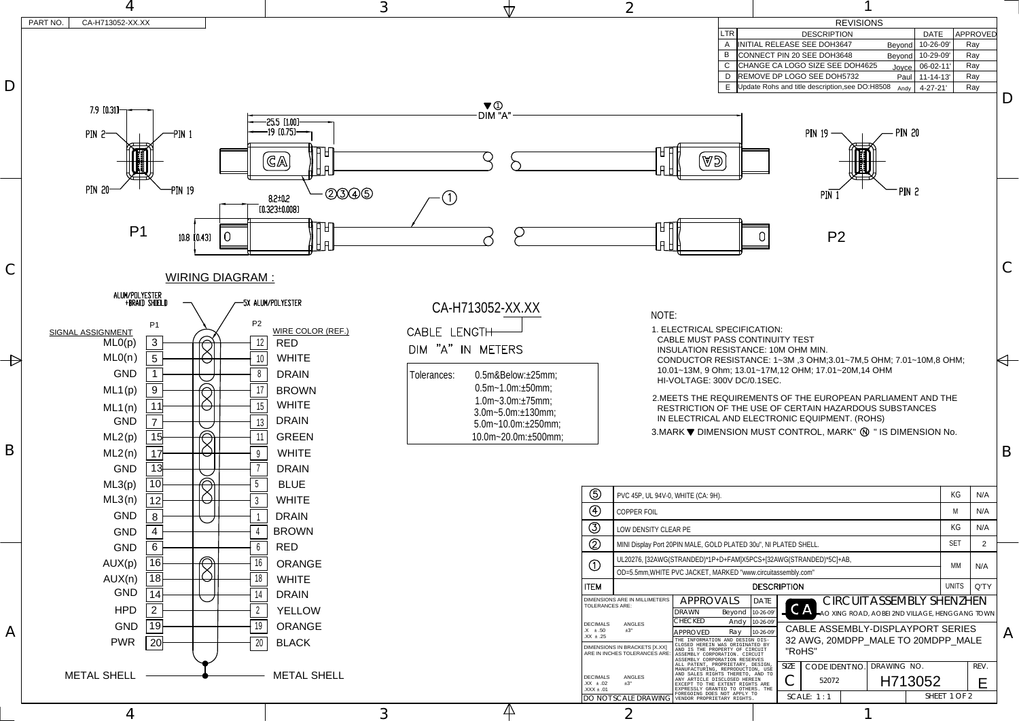